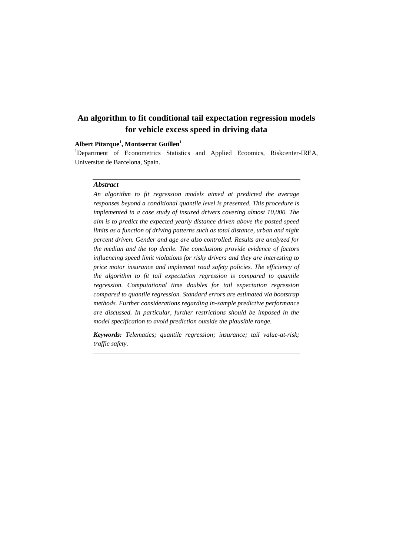# **An algorithm to fit conditional tail expectation regression models for vehicle excess speed in driving data**

# **Albert Pitarque<sup>1</sup> , Montserrat Guillen<sup>1</sup>**

<sup>1</sup>Department of Econometrics Statistics and Applied Ecoomics, Riskcenter-IREA, Universitat de Barcelona, Spain.

## *Abstract*

*An algorithm to fit regression models aimed at predicted the average responses beyond a conditional quantile level is presented. This procedure is implemented in a case study of insured drivers covering almost 10,000. The aim is to predict the expected yearly distance driven above the posted speed limits as a function of driving patterns such as total distance, urban and night percent driven. Gender and age are also controlled. Results are analyzed for the median and the top decile. The conclusions provide evidence of factors influencing speed limit violations for risky drivers and they are interesting to price motor insurance and implement road safety policies. The efficiency of the algorithm to fit tail expectation regression is compared to quantile regression. Computational time doubles for tail expectation regression compared to quantile regression. Standard errors are estimated via bootstrap methods. Further considerations regarding in-sample predictive performance are discussed. In particular, further restrictions should be imposed in the model specification to avoid prediction outside the plausible range.*

*Keywords: Telematics; quantile regression; insurance; tail value-at-risk; traffic safety.*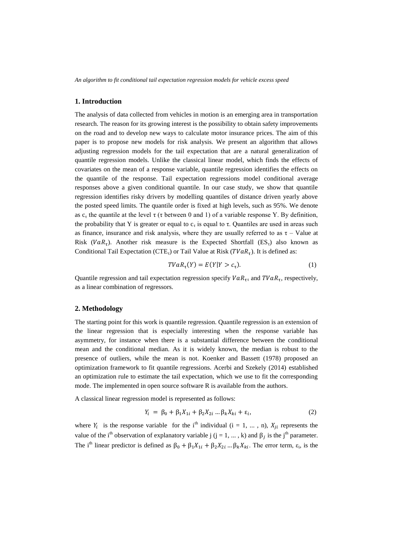*An algorithm to fit conditional tail expectation regression models for vehicle excess speed*

#### **1. Introduction**

The analysis of data collected from vehicles in motion is an emerging area in transportation research. The reason for its growing interest is the possibility to obtain safety improvements on the road and to develop new ways to calculate motor insurance prices. The aim of this paper is to propose new models for risk analysis. We present an algorithm that allows adjusting regression models for the tail expectation that are a natural generalization of quantile regression models. Unlike the classical linear model, which finds the effects of covariates on the mean of a response variable, quantile regression identifies the effects on the quantile of the response. Tail expectation regressions model conditional average responses above a given conditional quantile. In our case study, we show that quantile regression identifies risky drivers by modelling quantiles of distance driven yearly above the posted speed limits. The quantile order is fixed at high levels, such as 95%. We denote as  $c_{\tau}$  the quantile at the level  $\tau$  ( $\tau$  between 0 and 1) of a variable response Y. By definition, the probability that Y is greater or equal to  $c_{\tau}$  is equal to  $\tau$ . Quantiles are used in areas such as finance, insurance and risk analysis, where they are usually referred to as  $\tau$  – Value at Risk ( $VaR_{\tau}$ ). Another risk measure is the Expected Shortfall ( $ES_{\tau}$ ) also known as Conditional Tail Expectation (CTE<sub>τ</sub>) or Tail Value at Risk ( $TVaR_{\tau}$ ). It is defined as:

$$
TVaR_{\tau}(Y) = E(Y|Y > c_{\tau}).\tag{1}
$$

Quantile regression and tail expectation regression specify  $VaR_{\tau\tau}$  and  $TVaR_{\tau}$ , respectively, as a linear combination of regressors.

## **2. Methodology**

The starting point for this work is quantile regression. Quantile regression is an extension of the linear regression that is especially interesting when the response variable has asymmetry, for instance when there is a substantial difference between the conditional mean and the conditional median. As it is widely known, the median is robust to the presence of outliers, while the mean is not. Koenker and Bassett (1978) proposed an optimization framework to fit quantile regressions. Acerbi and Szekely (2014) established an optimization rule to estimate the tail expectation, which we use to fit the corresponding mode. The implemented in open source software R is available from the authors.

A classical linear regression model is represented as follows:

$$
Y_i = \beta_0 + \beta_1 X_{1i} + \beta_2 X_{2i} ... \beta_k X_{ki} + \varepsilon_i,
$$
 (2)

where  $Y_i$  is the response variable for the i<sup>th</sup> individual (i = 1, ..., n),  $X_{ji}$  represents the value of the i<sup>th</sup> observation of explanatory variable j (j = 1, ..., k) and  $\beta_j$  is the j<sup>th</sup> parameter. The i<sup>th</sup> linear predictor is defined as  $\beta_0 + \beta_1 X_{1i} + \beta_2 X_{2i} ... \beta_k X_{ki}$ . The error term,  $\varepsilon_i$ , is the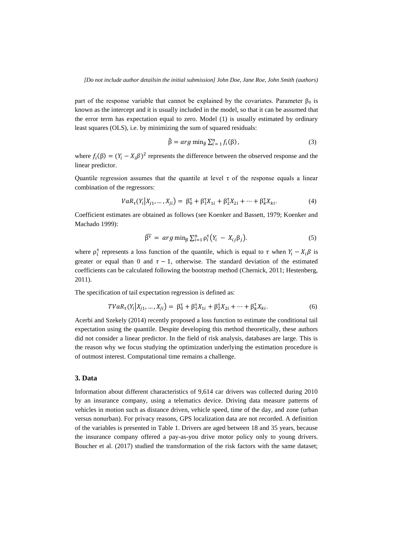part of the response variable that cannot be explained by the covariates. Parameter  $\beta_0$  is known as the intercept and it is usually included in the model, so that it can be assumed that the error term has expectation equal to zero. Model (1) is usually estimated by ordinary least squares (OLS), i.e. by minimizing the sum of squared residuals:

$$
\hat{\beta} = arg \min_{\beta} \sum_{i=1}^{n} f_i(\beta), \qquad (3)
$$

where  $f_i(\beta) = (Y_i - X_i \beta)^2$  represents the difference between the observed response and the linear predictor.

Quantile regression assumes that the quantile at level  $\tau$  of the response equals a linear combination of the regressors:

$$
VaR_{\tau}(Y_i|X_{j1},...,X_{ji}) = \beta_0^{\tau} + \beta_1^{\tau}X_{1i} + \beta_2^{\tau}X_{2i} + \dots + \beta_k^{\tau}X_{ki}.
$$
 (4)

Coefficient estimates are obtained as follows (see Koenker and Bassett, 1979; Koenker and Machado 1999):

$$
\widehat{\beta}^{\tau} = arg \min_{\beta} \sum_{i=1}^{n} \rho_i^{\tau} (Y_i - X_{ij} \beta_j).
$$
 (5)

where  $\rho_i^{\tau}$  represents a loss function of the quantile, which is equal to  $\tau$  when  $Y_i - X_i \beta$  is greater or equal than 0 and  $\tau - 1$ , otherwise. The standard deviation of the estimated coefficients can be calculated following the bootstrap method (Chernick, 2011; Hestenberg, 2011).

The specification of tail expectation regression is defined as:

$$
TVaR_{\tau}(Y_i|X_{j1},...,X_{ji}) = \beta_0^{\tau} + \beta_1^{\tau}X_{1i} + \beta_2^{\tau}X_{2i} + \dots + \beta_k^{\tau}X_{ki}.
$$
 (6)

Acerbi and Szekely (2014) recently proposed a loss function to estimate the conditional tail expectation using the quantile. Despite developing this method theoretically, these authors did not consider a linear predictor. In the field of risk analysis, databases are large. This is the reason why we focus studying the optimization underlying the estimation procedure is of outmost interest. Computational time remains a challenge.

# **3. Data**

Information about different characteristics of 9,614 car drivers was collected during 2010 by an insurance company, using a telematics device. Driving data measure patterns of vehicles in motion such as distance driven, vehicle speed, time of the day, and zone (urban versus nonurban). For privacy reasons, GPS localization data are not recorded. A definition of the variables is presented in Table 1. Drivers are aged between 18 and 35 years, because the insurance company offered a pay-as-you drive motor policy only to young drivers. Boucher et al. (2017) studied the transformation of the risk factors with the same dataset;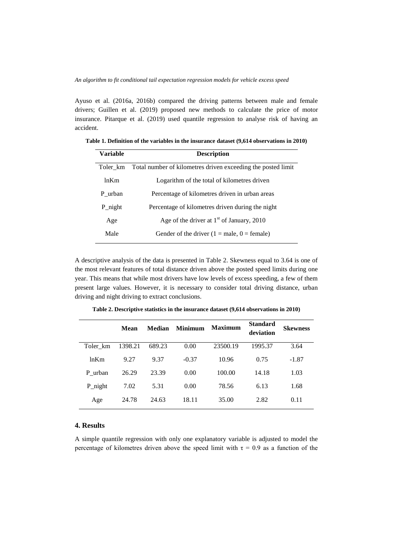*An algorithm to fit conditional tail expectation regression models for vehicle excess speed*

Ayuso et al. (2016a, 2016b) compared the driving patterns between male and female drivers; Guillen et al. (2019) proposed new methods to calculate the price of motor insurance. Pitarque et al. (2019) used quantile regression to analyse risk of having an accident.

| Variable | <b>Description</b>                                           |
|----------|--------------------------------------------------------------|
| Toler km | Total number of kilometres driven exceeding the posted limit |
| ln Km    | Logarithm of the total of kilometres driven                  |
| P urban  | Percentage of kilometres driven in urban areas               |
| P_night  | Percentage of kilometres driven during the night             |
| Age      | Age of the driver at $1st$ of January, 2010                  |
| Male     | Gender of the driver $(1 = male, 0 = female)$                |

**Table 1. Definition of the variables in the insurance dataset (9,614 observations in 2010)**

A descriptive analysis of the data is presented in Table 2. Skewness equal to 3.64 is one of the most relevant features of total distance driven above the posted speed limits during one year. This means that while most drivers have low levels of excess speeding, a few of them present large values. However, it is necessary to consider total driving distance, urban driving and night driving to extract conclusions.

|          | Mean    | <b>Median</b> | <b>Minimum</b> | <b>Maximum</b> | <b>Standard</b><br>deviation | <b>Skewness</b> |
|----------|---------|---------------|----------------|----------------|------------------------------|-----------------|
| Toler km | 1398.21 | 689.23        | 0.00           | 23500.19       | 1995.37                      | 3.64            |
| ln Km    | 9.27    | 9.37          | $-0.37$        | 10.96          | 0.75                         | $-1.87$         |
| P urban  | 26.29   | 23.39         | 0.00           | 100.00         | 14.18                        | 1.03            |
| P_night  | 7.02    | 5.31          | 0.00           | 78.56          | 6.13                         | 1.68            |
| Age      | 24.78   | 24.63         | 18.11          | 35.00          | 2.82                         | 0.11            |

**Table 2. Descriptive statistics in the insurance dataset (9,614 observations in 2010)**

#### **4. Results**

A simple quantile regression with only one explanatory variable is adjusted to model the percentage of kilometres driven above the speed limit with  $\tau = 0.9$  as a function of the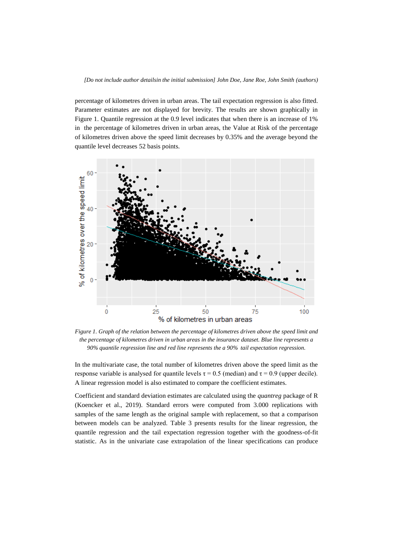percentage of kilometres driven in urban areas. The tail expectation regression is also fitted. Parameter estimates are not displayed for brevity. The results are shown graphically in Figure 1. Quantile regression at the 0.9 level indicates that when there is an increase of 1% in the percentage of kilometres driven in urban areas, the Value at Risk of the percentage of kilometres driven above the speed limit decreases by 0.35% and the average beyond the quantile level decreases 52 basis points.



*Figure 1. Graph of the relation between the percentage of kilometres driven above the speed limit and the percentage of kilometres driven in urban areas in the insurance dataset. Blue line represents a 90% quantile regression line and red line represents the a 90% tail expectation regression.*

In the multivariate case, the total number of kilometres driven above the speed limit as the response variable is analysed for quantile levels  $τ = 0.5$  (median) and  $τ = 0.9$  (upper decile). A linear regression model is also estimated to compare the coefficient estimates.

Coefficient and standard deviation estimates are calculated using the *quantreg* package of R (Koencker et al., 2019). Standard errors were computed from 3.000 replications with samples of the same length as the original sample with replacement, so that a comparison between models can be analyzed. Table 3 presents results for the linear regression, the quantile regression and the tail expectation regression together with the goodness-of-fit statistic. As in the univariate case extrapolation of the linear specifications can produce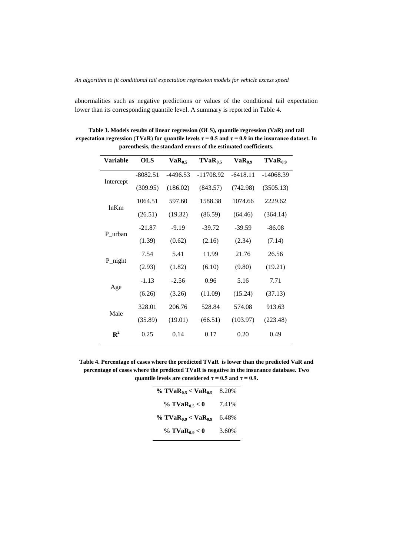abnormalities such as negative predictions or values of the conditional tail expectation lower than its corresponding quantile level. A summary is reported in Table 4.

| <b>Variable</b> | <b>OLS</b> | $VaR_{0.5}$ | $TVaR_0$    | $VaR_0$    | $TVaR_{0.9}$ |
|-----------------|------------|-------------|-------------|------------|--------------|
| Intercept       | $-8082.51$ | $-4496.53$  | $-11708.92$ | $-6418.11$ | $-14068.39$  |
|                 | (309.95)   | (186.02)    | (843.57)    | (742.98)   | (3505.13)    |
| ln Km           | 1064.51    | 597.60      | 1588.38     | 1074.66    | 2229.62      |
|                 | (26.51)    | (19.32)     | (86.59)     | (64.46)    | (364.14)     |
| P urban         | $-21.87$   | $-9.19$     | $-39.72$    | $-39.59$   | $-86.08$     |
|                 | (1.39)     | (0.62)      | (2.16)      | (2.34)     | (7.14)       |
| P_night         | 7.54       | 5.41        | 11.99       | 21.76      | 26.56        |
|                 | (2.93)     | (1.82)      | (6.10)      | (9.80)     | (19.21)      |
| Age             | $-1.13$    | $-2.56$     | 0.96        | 5.16       | 7.71         |
|                 | (6.26)     | (3.26)      | (11.09)     | (15.24)    | (37.13)      |
| Male            | 328.01     | 206.76      | 528.84      | 574.08     | 913.63       |
|                 | (35.89)    | (19.01)     | (66.51)     | (103.97)   | (223.48)     |
| ${\bf R}^2$     | 0.25       | 0.14        | 0.17        | 0.20       | 0.49         |

**Table 3. Models results of linear regression (OLS), quantile regression (VaR) and tail**  expectation regression (TVaR) for quantile levels  $\tau = 0.5$  and  $\tau = 0.9$  in the insurance dataset. In **parenthesis, the standard errors of the estimated coefficients.**

**Table 4. Percentage of cases where the predicted TVaR is lower than the predicted VaR and percentage of cases where the predicted TVaR is negative in the insurance database. Two quantile levels are considered**  $\tau = 0.5$  **and**  $\tau = 0.9$ **.** 

| % $TVaR_{0.5} < VaR_{0.5}$ | 8.20% |
|----------------------------|-------|
| % $TVaR_{0.5} < 0$         | 7.41% |
| % $TVaR_{0.9} < VaR_{0.9}$ | 6.48% |
| % $TVaR_{0.9} < 0$         | 3.60% |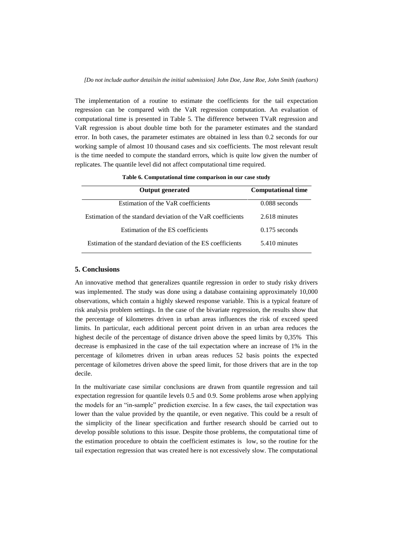The implementation of a routine to estimate the coefficients for the tail expectation regression can be compared with the VaR regression computation. An evaluation of computational time is presented in Table 5. The difference between TVaR regression and VaR regression is about double time both for the parameter estimates and the standard error. In both cases, the parameter estimates are obtained in less than 0.2 seconds for our working sample of almost 10 thousand cases and six coefficients. The most relevant result is the time needed to compute the standard errors, which is quite low given the number of replicates. The quantile level did not affect computational time required.

| <b>Output generated</b>                                      | <b>Computational time</b> |
|--------------------------------------------------------------|---------------------------|
| Estimation of the VaR coefficients                           | $0.088$ seconds           |
| Estimation of the standard deviation of the VaR coefficients | 2.618 minutes             |
| Estimation of the ES coefficients                            | $0.175$ seconds           |
| Estimation of the standard deviation of the ES coefficients  | 5.410 minutes             |

**Table 6. Computational time comparison in our case study**

## **5. Conclusions**

An innovative method that generalizes quantile regression in order to study risky drivers was implemented. The study was done using a database containing approximately 10,000 observations, which contain a highly skewed response variable. This is a typical feature of risk analysis problem settings. In the case of the bivariate regression, the results show that the percentage of kilometres driven in urban areas influences the risk of exceed speed limits. In particular, each additional percent point driven in an urban area reduces the highest decile of the percentage of distance driven above the speed limits by 0,35% This decrease is emphasized in the case of the tail expectation where an increase of 1% in the percentage of kilometres driven in urban areas reduces 52 basis points the expected percentage of kilometres driven above the speed limit, for those drivers that are in the top decile.

In the multivariate case similar conclusions are drawn from quantile regression and tail expectation regression for quantile levels 0.5 and 0.9. Some problems arose when applying the models for an "in-sample" prediction exercise. In a few cases, the tail expectation was lower than the value provided by the quantile, or even negative. This could be a result of the simplicity of the linear specification and further research should be carried out to develop possible solutions to this issue. Despite those problems, the computational time of the estimation procedure to obtain the coefficient estimates is low, so the routine for the tail expectation regression that was created here is not excessively slow. The computational